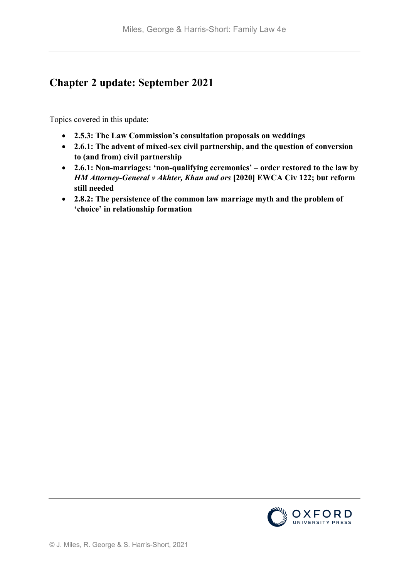# **Chapter 2 update: September 2021**

Topics covered in this update:

- **2.5.3: The Law Commission's consultation proposals on weddings**
- **2.6.1: The advent of mixed-sex civil partnership, and the question of conversion to (and from) civil partnership**
- **2.6.1: Non-marriages: 'non-qualifying ceremonies' – order restored to the law by**  *HM Attorney-General v Akhter, Khan and ors* **[2020] EWCA Civ 122; but reform still needed**
- **2.8.2: The persistence of the common law marriage myth and the problem of 'choice' in relationship formation**

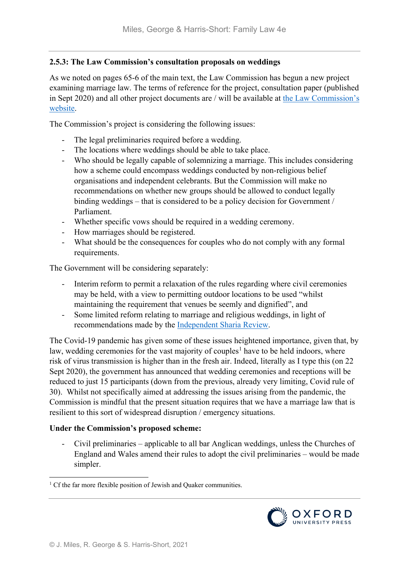## **2.5.3: The Law Commission's consultation proposals on weddings**

As we noted on pages 65-6 of the main text, the Law Commission has begun a new project examining marriage law. The terms of reference for the project, consultation paper (published in Sept 2020) and all other project documents are / will be available at [the Law Commission's](https://www.lawcom.gov.uk/project/weddings/)  [website.](https://www.lawcom.gov.uk/project/weddings/)

The Commission's project is considering the following issues:

- The legal preliminaries required before a wedding.
- The locations where weddings should be able to take place.
- Who should be legally capable of solemnizing a marriage. This includes considering how a scheme could encompass weddings conducted by non-religious belief organisations and independent celebrants. But the Commission will make no recommendations on whether new groups should be allowed to conduct legally binding weddings – that is considered to be a policy decision for Government / Parliament.
- Whether specific vows should be required in a wedding ceremony.
- How marriages should be registered.
- What should be the consequences for couples who do not comply with any formal requirements.

The Government will be considering separately:

- Interim reform to permit a relaxation of the rules regarding where civil ceremonies may be held, with a view to permitting outdoor locations to be used "whilst maintaining the requirement that venues be seemly and dignified", and
- Some limited reform relating to marriage and religious weddings, in light of recommendations made by the [Independent Sharia Review.](https://www.gov.uk/government/publications/applying-sharia-law-in-england-and-wales-independent-review)

The Covid-19 pandemic has given some of these issues heightened importance, given that, by law, wedding ceremonies for the vast majority of couples<sup>[1](#page-1-0)</sup> have to be held indoors, where risk of virus transmission is higher than in the fresh air. Indeed, literally as I type this (on 22 Sept 2020), the government has announced that wedding ceremonies and receptions will be reduced to just 15 participants (down from the previous, already very limiting, Covid rule of 30). Whilst not specifically aimed at addressing the issues arising from the pandemic, the Commission is mindful that the present situation requires that we have a marriage law that is resilient to this sort of widespread disruption / emergency situations.

# **Under the Commission's proposed scheme:**

- Civil preliminaries – applicable to all bar Anglican weddings, unless the Churches of England and Wales amend their rules to adopt the civil preliminaries – would be made simpler.

<span id="page-1-0"></span> $1$  Cf the far more flexible position of Jewish and Quaker communities.

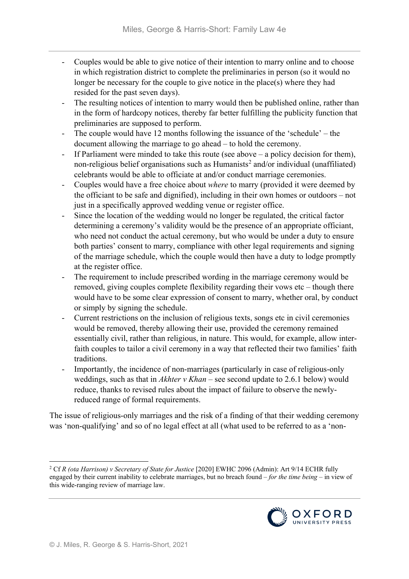- Couples would be able to give notice of their intention to marry online and to choose in which registration district to complete the preliminaries in person (so it would no longer be necessary for the couple to give notice in the place(s) where they had resided for the past seven days).
- The resulting notices of intention to marry would then be published online, rather than in the form of hardcopy notices, thereby far better fulfilling the publicity function that preliminaries are supposed to perform.
- The couple would have 12 months following the issuance of the 'schedule' the document allowing the marriage to go ahead – to hold the ceremony.
- If Parliament were minded to take this route (see above a policy decision for them), non-religious belief organisations such as  $\mu$  Humanists<sup>[2](#page-2-0)</sup> and/or individual (unaffiliated) celebrants would be able to officiate at and/or conduct marriage ceremonies.
- Couples would have a free choice about *where* to marry (provided it were deemed by the officiant to be safe and dignified), including in their own homes or outdoors – not just in a specifically approved wedding venue or register office.
- Since the location of the wedding would no longer be regulated, the critical factor determining a ceremony's validity would be the presence of an appropriate officiant, who need not conduct the actual ceremony, but who would be under a duty to ensure both parties' consent to marry, compliance with other legal requirements and signing of the marriage schedule, which the couple would then have a duty to lodge promptly at the register office.
- The requirement to include prescribed wording in the marriage ceremony would be removed, giving couples complete flexibility regarding their vows etc – though there would have to be some clear expression of consent to marry, whether oral, by conduct or simply by signing the schedule.
- Current restrictions on the inclusion of religious texts, songs etc in civil ceremonies would be removed, thereby allowing their use, provided the ceremony remained essentially civil, rather than religious, in nature. This would, for example, allow interfaith couples to tailor a civil ceremony in a way that reflected their two families' faith traditions.
- Importantly, the incidence of non-marriages (particularly in case of religious-only weddings, such as that in *Akhter v Khan* – see second update to 2.6.1 below) would reduce, thanks to revised rules about the impact of failure to observe the newlyreduced range of formal requirements.

The issue of religious-only marriages and the risk of a finding of that their wedding ceremony was 'non-qualifying' and so of no legal effect at all (what used to be referred to as a 'non-

<span id="page-2-0"></span> <sup>2</sup> Cf *R (ota Harrison) v Secretary of State for Justice* [2020] EWHC 2096 (Admin): Art 9/14 ECHR fully engaged by their current inability to celebrate marriages, but no breach found – *for the time being* – in view of this wide-ranging review of marriage law.

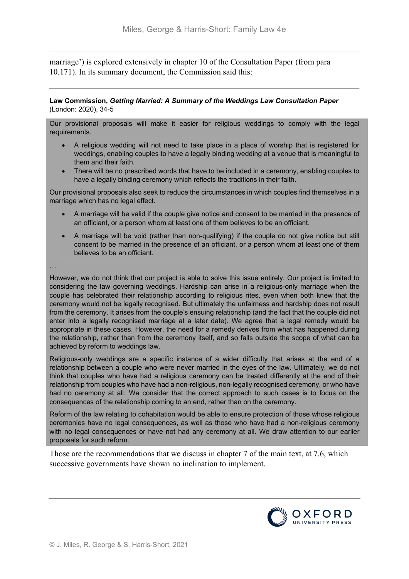marriage') is explored extensively in chapter 10 of the Consultation Paper (from para 10.171). In its summary document, the Commission said this:

#### **Law Commission,** *Getting Married: A Summary of the Weddings Law Consultation Paper* (London: 2020), 34-5

Our provisional proposals will make it easier for religious weddings to comply with the legal requirements.

- A religious wedding will not need to take place in a place of worship that is registered for weddings, enabling couples to have a legally binding wedding at a venue that is meaningful to them and their faith.
- There will be no prescribed words that have to be included in a ceremony, enabling couples to have a legally binding ceremony which reflects the traditions in their faith.

Our provisional proposals also seek to reduce the circumstances in which couples find themselves in a marriage which has no legal effect.

- A marriage will be valid if the couple give notice and consent to be married in the presence of an officiant, or a person whom at least one of them believes to be an officiant.
- A marriage will be void (rather than non-qualifying) if the couple do not give notice but still consent to be married in the presence of an officiant, or a person whom at least one of them believes to be an officiant.

…

However, we do not think that our project is able to solve this issue entirely. Our project is limited to considering the law governing weddings. Hardship can arise in a religious-only marriage when the couple has celebrated their relationship according to religious rites, even when both knew that the ceremony would not be legally recognised. But ultimately the unfairness and hardship does not result from the ceremony. It arises from the couple's ensuing relationship (and the fact that the couple did not enter into a legally recognised marriage at a later date). We agree that a legal remedy would be appropriate in these cases. However, the need for a remedy derives from what has happened during the relationship, rather than from the ceremony itself, and so falls outside the scope of what can be achieved by reform to weddings law.

Religious-only weddings are a specific instance of a wider difficulty that arises at the end of a relationship between a couple who were never married in the eyes of the law. Ultimately, we do not think that couples who have had a religious ceremony can be treated differently at the end of their relationship from couples who have had a non-religious, non-legally recognised ceremony, or who have had no ceremony at all. We consider that the correct approach to such cases is to focus on the consequences of the relationship coming to an end, rather than on the ceremony.

Reform of the law relating to cohabitation would be able to ensure protection of those whose religious ceremonies have no legal consequences, as well as those who have had a non-religious ceremony with no legal consequences or have not had any ceremony at all. We draw attention to our earlier proposals for such reform.

Those are the recommendations that we discuss in chapter 7 of the main text, at 7.6, which successive governments have shown no inclination to implement.

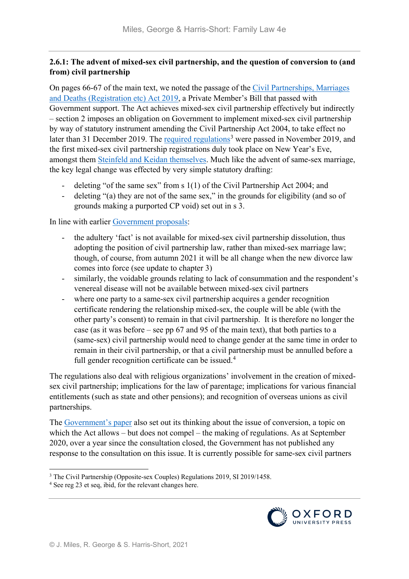# **2.6.1: The advent of mixed-sex civil partnership, and the question of conversion to (and from) civil partnership**

On pages 66-67 of the main text, we noted the passage of the [Civil Partnerships, Marriages](http://www.legislation.gov.uk/ukpga/2019/12/contents/enacted)  [and Deaths \(Registration etc\) Act 2019,](http://www.legislation.gov.uk/ukpga/2019/12/contents/enacted) a Private Member's Bill that passed with Government support. The Act achieves mixed-sex civil partnership effectively but indirectly – section 2 imposes an obligation on Government to implement mixed-sex civil partnership by way of statutory instrument amending the Civil Partnership Act 2004, to take effect no later than 31 December 2019. The [required regulations](http://www.legislation.gov.uk/uksi/2019/1458/made)<sup>[3](#page-4-0)</sup> were passed in November 2019, and the first mixed-sex civil partnership registrations duly took place on New Year's Eve, amongst them [Steinfeld and Keidan themselves.](https://www.theguardian.com/uk-news/2019/dec/31/couple-who-won-battle-to-open-up-civil-unions-register-partnership) Much like the advent of same-sex marriage, the key legal change was effected by very simple statutory drafting:

- deleting "of the same sex" from s 1(1) of the Civil Partnership Act 2004; and
- deleting "(a) they are not of the same sex," in the grounds for eligibility (and so of grounds making a purported CP void) set out in s 3.

In line with earlier [Government proposals:](https://www.gov.uk/government/consultations/civil-partnerships-next-steps-and-consultation-on-conversion)

- the adultery 'fact' is not available for mixed-sex civil partnership dissolution, thus adopting the position of civil partnership law, rather than mixed-sex marriage law; though, of course, from autumn 2021 it will be all change when the new divorce law comes into force (see update to chapter 3)
- similarly, the voidable grounds relating to lack of consummation and the respondent's venereal disease will not be available between mixed-sex civil partners
- where one party to a same-sex civil partnership acquires a gender recognition certificate rendering the relationship mixed-sex, the couple will be able (with the other party's consent) to remain in that civil partnership. It is therefore no longer the case (as it was before – see pp 67 and 95 of the main text), that both parties to a (same-sex) civil partnership would need to change gender at the same time in order to remain in their civil partnership, or that a civil partnership must be annulled before a full gender recognition certificate can be issued.<sup>[4](#page-4-1)</sup>

The regulations also deal with religious organizations' involvement in the creation of mixedsex civil partnership; implications for the law of parentage; implications for various financial entitlements (such as state and other pensions); and recognition of overseas unions as civil partnerships.

The [Government's paper](https://www.gov.uk/government/consultations/civil-partnerships-next-steps-and-consultation-on-conversion) also set out its thinking about the issue of conversion, a topic on which the Act allows – but does not compel – the making of regulations. As at September 2020, over a year since the consultation closed, the Government has not published any response to the consultation on this issue. It is currently possible for same-sex civil partners



<span id="page-4-0"></span> <sup>3</sup> The Civil Partnership (Opposite-sex Couples) Regulations 2019, SI 2019/1458.

<span id="page-4-1"></span><sup>4</sup> See reg 23 et seq, ibid, for the relevant changes here.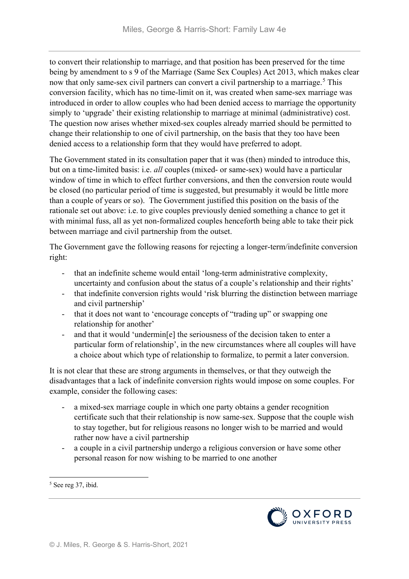to convert their relationship to marriage, and that position has been preserved for the time being by amendment to s 9 of the Marriage (Same Sex Couples) Act 2013, which makes clear now that only same-sex civil partners can convert a civil partnership to a marriage.<sup>[5](#page-5-0)</sup> This conversion facility, which has no time-limit on it, was created when same-sex marriage was introduced in order to allow couples who had been denied access to marriage the opportunity simply to 'upgrade' their existing relationship to marriage at minimal (administrative) cost. The question now arises whether mixed-sex couples already married should be permitted to change their relationship to one of civil partnership, on the basis that they too have been denied access to a relationship form that they would have preferred to adopt.

The Government stated in its consultation paper that it was (then) minded to introduce this, but on a time-limited basis: i.e. *all* couples (mixed- or same-sex) would have a particular window of time in which to effect further conversions, and then the conversion route would be closed (no particular period of time is suggested, but presumably it would be little more than a couple of years or so). The Government justified this position on the basis of the rationale set out above: i.e. to give couples previously denied something a chance to get it with minimal fuss, all as yet non-formalized couples henceforth being able to take their pick between marriage and civil partnership from the outset.

The Government gave the following reasons for rejecting a longer-term/indefinite conversion right:

- that an indefinite scheme would entail 'long-term administrative complexity, uncertainty and confusion about the status of a couple's relationship and their rights'
- that indefinite conversion rights would 'risk blurring the distinction between marriage and civil partnership'
- that it does not want to 'encourage concepts of "trading up" or swapping one relationship for another'
- and that it would 'undermin[e] the seriousness of the decision taken to enter a particular form of relationship', in the new circumstances where all couples will have a choice about which type of relationship to formalize, to permit a later conversion.

It is not clear that these are strong arguments in themselves, or that they outweigh the disadvantages that a lack of indefinite conversion rights would impose on some couples. For example, consider the following cases:

- a mixed-sex marriage couple in which one party obtains a gender recognition certificate such that their relationship is now same-sex. Suppose that the couple wish to stay together, but for religious reasons no longer wish to be married and would rather now have a civil partnership
- a couple in a civil partnership undergo a religious conversion or have some other personal reason for now wishing to be married to one another



<span id="page-5-0"></span> <sup>5</sup> See reg 37, ibid.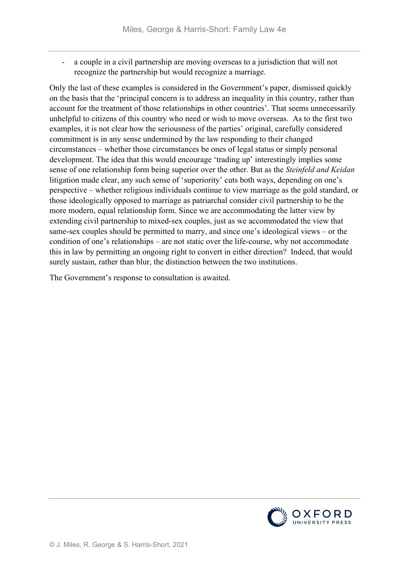a couple in a civil partnership are moving overseas to a jurisdiction that will not recognize the partnership but would recognize a marriage.

Only the last of these examples is considered in the Government's paper, dismissed quickly on the basis that the 'principal concern is to address an inequality in this country, rather than account for the treatment of those relationships in other countries'. That seems unnecessarily unhelpful to citizens of this country who need or wish to move overseas. As to the first two examples, it is not clear how the seriousness of the parties' original, carefully considered commitment is in any sense undermined by the law responding to their changed circumstances – whether those circumstances be ones of legal status or simply personal development. The idea that this would encourage 'trading up' interestingly implies some sense of one relationship form being superior over the other. But as the *Steinfeld and Keidan*  litigation made clear, any such sense of 'superiority' cuts both ways, depending on one's perspective – whether religious individuals continue to view marriage as the gold standard, or those ideologically opposed to marriage as patriarchal consider civil partnership to be the more modern, equal relationship form. Since we are accommodating the latter view by extending civil partnership to mixed-sex couples, just as we accommodated the view that same-sex couples should be permitted to marry, and since one's ideological views – or the condition of one's relationships – are not static over the life-course, why not accommodate this in law by permitting an ongoing right to convert in either direction? Indeed, that would surely sustain, rather than blur, the distinction between the two institutions.

The Government's response to consultation is awaited.

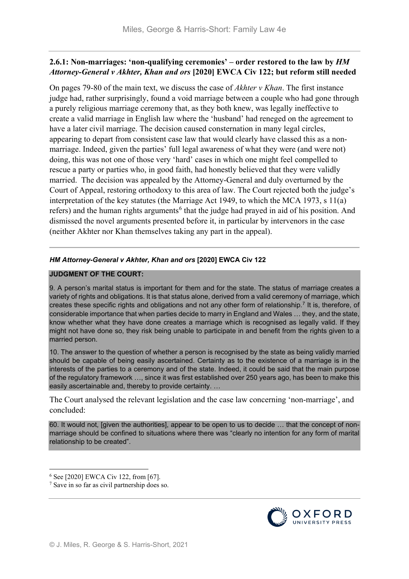### **2.6.1: Non-marriages: 'non-qualifying ceremonies' – order restored to the law by** *HM Attorney-General v Akhter, Khan and ors* **[2020] EWCA Civ 122; but reform still needed**

On pages 79-80 of the main text, we discuss the case of *Akhter v Khan*. The first instance judge had, rather surprisingly, found a void marriage between a couple who had gone through a purely religious marriage ceremony that, as they both knew, was legally ineffective to create a valid marriage in English law where the 'husband' had reneged on the agreement to have a later civil marriage. The decision caused consternation in many legal circles, appearing to depart from consistent case law that would clearly have classed this as a nonmarriage. Indeed, given the parties' full legal awareness of what they were (and were not) doing, this was not one of those very 'hard' cases in which one might feel compelled to rescue a party or parties who, in good faith, had honestly believed that they were validly married. The decision was appealed by the Attorney-General and duly overturned by the Court of Appeal, restoring orthodoxy to this area of law. The Court rejected both the judge's interpretation of the key statutes (the Marriage Act 1949, to which the MCA 1973, s 11(a) refers) and the human rights arguments<sup>[6](#page-7-0)</sup> that the judge had prayed in aid of his position. And dismissed the novel arguments presented before it, in particular by intervenors in the case (neither Akhter nor Khan themselves taking any part in the appeal).

#### *HM Attorney-General v Akhter, Khan and ors* **[2020] EWCA Civ 122**

#### **JUDGMENT OF THE COURT:**

9. A person's marital status is important for them and for the state. The status of marriage creates a variety of rights and obligations. It is that status alone, derived from a valid ceremony of marriage, which creates these specific rights and obligations and not any other form of relationship.[7](#page-7-1) It is, therefore, of considerable importance that when parties decide to marry in England and Wales … they, and the state, know whether what they have done creates a marriage which is recognised as legally valid. If they might not have done so, they risk being unable to participate in and benefit from the rights given to a married person.

10. The answer to the question of whether a person is recognised by the state as being validly married should be capable of being easily ascertained. Certainty as to the existence of a marriage is in the interests of the parties to a ceremony and of the state. Indeed, it could be said that the main purpose of the regulatory framework …, since it was first established over 250 years ago, has been to make this easily ascertainable and, thereby to provide certainty. …

The Court analysed the relevant legislation and the case law concerning 'non-marriage', and concluded:

60. It would not, [given the authorities], appear to be open to us to decide … that the concept of nonmarriage should be confined to situations where there was "clearly no intention for any form of marital relationship to be created".



<span id="page-7-0"></span> <sup>6</sup> See [2020] EWCA Civ 122, from [67].

<span id="page-7-1"></span><sup>7</sup> Save in so far as civil partnership does so.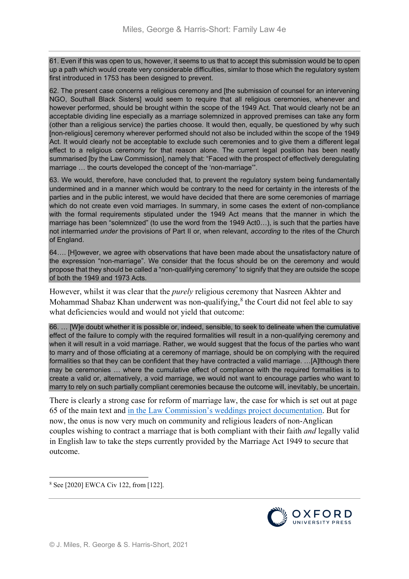61. Even if this was open to us, however, it seems to us that to accept this submission would be to open up a path which would create very considerable difficulties, similar to those which the regulatory system first introduced in 1753 has been designed to prevent.

62. The present case concerns a religious ceremony and [the submission of counsel for an intervening NGO, Southall Black Sisters] would seem to require that all religious ceremonies, whenever and however performed, should be brought within the scope of the 1949 Act. That would clearly not be an acceptable dividing line especially as a marriage solemnized in approved premises can take any form (other than a religious service) the parties choose. It would then, equally, be questioned by why such [non-religious] ceremony wherever performed should not also be included within the scope of the 1949 Act. It would clearly not be acceptable to exclude such ceremonies and to give them a different legal effect to a religious ceremony for that reason alone. The current legal position has been neatly summarised [by the Law Commission], namely that: "Faced with the prospect of effectively deregulating marriage … the courts developed the concept of the 'non-marriage'".

63. We would, therefore, have concluded that, to prevent the regulatory system being fundamentally undermined and in a manner which would be contrary to the need for certainty in the interests of the parties and in the public interest, we would have decided that there are some ceremonies of marriage which do not create even void marriages. In summary, in some cases the extent of non-compliance with the formal requirements stipulated under the 1949 Act means that the manner in which the marriage has been "solemnized" (to use the word from the 1949 Act0…), is such that the parties have not intermarried *under* the provisions of Part II or, when relevant, *according* to the rites of the Church of England.

64…. [H]owever, we agree with observations that have been made about the unsatisfactory nature of the expression "non-marriage". We consider that the focus should be on the ceremony and would propose that they should be called a "non-qualifying ceremony" to signify that they are outside the scope of both the 1949 and 1973 Acts.

However, whilst it was clear that the *purely* religious ceremony that Nasreen Akhter and Mohammad Shabaz Khan underwent was non-qualifying, $8$  the Court did not feel able to say what deficiencies would and would not yield that outcome:

66. … [W]e doubt whether it is possible or, indeed, sensible, to seek to delineate when the cumulative effect of the failure to comply with the required formalities will result in a non-qualifying ceremony and when it will result in a void marriage. Rather, we would suggest that the focus of the parties who want to marry and of those officiating at a ceremony of marriage, should be on complying with the required formalities so that they can be confident that they have contracted a valid marriage. …[A]lthough there may be ceremonies … where the cumulative effect of compliance with the required formalities is to create a valid or, alternatively, a void marriage, we would not want to encourage parties who want to marry to rely on such partially compliant ceremonies because the outcome will, inevitably, be uncertain.

There is clearly a strong case for reform of marriage law, the case for which is set out at page 65 of the main text and [in the Law Commission's weddings project documentation.](https://www.lawcom.gov.uk/project/weddings/) But for now, the onus is now very much on community and religious leaders of non-Anglican couples wishing to contract a marriage that is both compliant with their faith *and* legally valid in English law to take the steps currently provided by the Marriage Act 1949 to secure that outcome.

<span id="page-8-0"></span>8 See [2020] EWCA Civ 122, from [122].